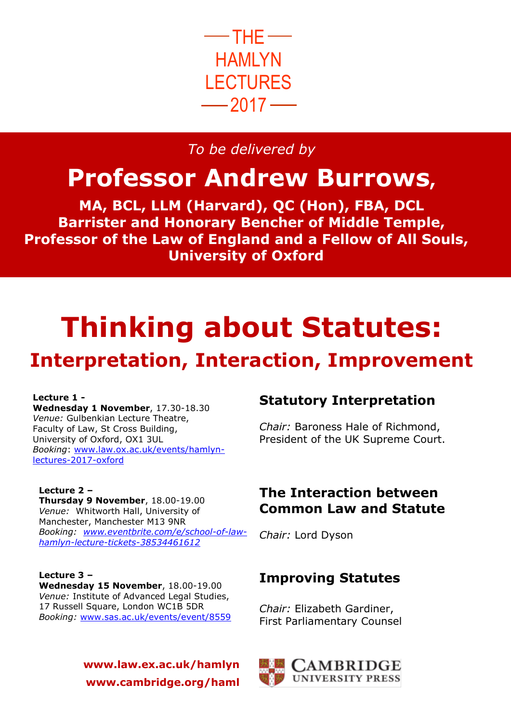

## *To be delivered by*

## **Professor Andrew Burrows,**

**MA, BCL, LLM (Harvard), QC (Hon), FBA, DCL Barrister and Honorary Bencher of Middle Temple, Professor of the Law of England and a Fellow of All Souls, University of Oxford**

# **Thinking about Statutes: Interpretation, Interaction, Improvement**

#### **Lecture 1 -**

**Wednesday 1 November**, 17.30-18.30 *Venue:* Gulbenkian Lecture Theatre, Faculty of Law, St Cross Building, University of Oxford, OX1 3UL *Booking*: [www.law.ox.ac.uk/events/hamlyn](http://www.law.ox.ac.uk/events/hamlyn-lectures-2017-oxford)[lectures-2017-oxford](http://www.law.ox.ac.uk/events/hamlyn-lectures-2017-oxford)

#### **Lecture 2 –**

**Thursday 9 November**, 18.00-19.00 *Venue:* Whitworth Hall, University of Manchester, Manchester M13 9NR *Booking: [www.eventbrite.com/e/school-of-law](http://www.eventbrite.com/e/school-of-law-hamlyn-lecture-tickets-38534461612)[hamlyn-lecture-tickets-38534461612](http://www.eventbrite.com/e/school-of-law-hamlyn-lecture-tickets-38534461612)* 

#### **Lecture 3 – Wednesday 15 November**, 18.00-19.00 *Venue:* Institute of Advanced Legal Studies, 17 Russell Square, London WC1B 5DR *Booking:* [www.sas.ac.uk/events/event/8559](http://www.sas.ac.uk/events/event/8559)

### **www.law.ex.ac.uk/hamlyn www.cambridge.org/haml**

## **Statutory Interpretation**

*Chair:* Baroness Hale of Richmond, President of the UK Supreme Court.

## **The Interaction between Common Law and Statute**

*Chair:* Lord Dyson

## **Improving Statutes**

*Chair:* Elizabeth Gardiner, First Parliamentary Counsel